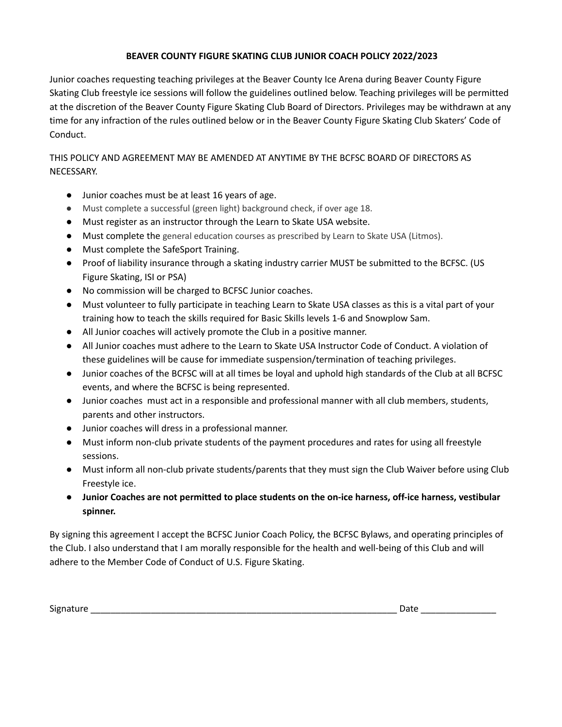## **BEAVER COUNTY FIGURE SKATING CLUB JUNIOR COACH POLICY 2022/2023**

Junior coaches requesting teaching privileges at the Beaver County Ice Arena during Beaver County Figure Skating Club freestyle ice sessions will follow the guidelines outlined below. Teaching privileges will be permitted at the discretion of the Beaver County Figure Skating Club Board of Directors. Privileges may be withdrawn at any time for any infraction of the rules outlined below or in the Beaver County Figure Skating Club Skaters' Code of Conduct.

THIS POLICY AND AGREEMENT MAY BE AMENDED AT ANYTIME BY THE BCFSC BOARD OF DIRECTORS AS NECESSARY.

- Junior coaches must be at least 16 years of age.
- Must complete a successful (green light) background check, if over age 18.
- Must register as an instructor through the Learn to Skate USA website.
- Must complete the general education courses as prescribed by Learn to Skate USA (Litmos).
- Must complete the SafeSport Training.
- Proof of liability insurance through a skating industry carrier MUST be submitted to the BCFSC. (US Figure Skating, ISI or PSA)
- No commission will be charged to BCFSC Junior coaches.
- Must volunteer to fully participate in teaching Learn to Skate USA classes as this is a vital part of your training how to teach the skills required for Basic Skills levels 1-6 and Snowplow Sam.
- All Junior coaches will actively promote the Club in a positive manner.
- All Junior coaches must adhere to the Learn to Skate USA Instructor Code of Conduct. A violation of these guidelines will be cause for immediate suspension/termination of teaching privileges.
- Junior coaches of the BCFSC will at all times be loyal and uphold high standards of the Club at all BCFSC events, and where the BCFSC is being represented.
- Junior coaches must act in a responsible and professional manner with all club members, students, parents and other instructors.
- Junior coaches will dress in a professional manner.
- Must inform non-club private students of the payment procedures and rates for using all freestyle sessions.
- Must inform all non-club private students/parents that they must sign the Club Waiver before using Club Freestyle ice.
- **● Junior Coaches are not permitted to place students on the on-ice harness, off-ice harness, vestibular spinner.**

By signing this agreement I accept the BCFSC Junior Coach Policy, the BCFSC Bylaws, and operating principles of the Club. I also understand that I am morally responsible for the health and well-being of this Club and will adhere to the Member Code of Conduct of U.S. Figure Skating.

Signature \_\_\_\_\_\_\_\_\_\_\_\_\_\_\_\_\_\_\_\_\_\_\_\_\_\_\_\_\_\_\_\_\_\_\_\_\_\_\_\_\_\_\_\_\_\_\_\_\_\_\_\_\_\_\_\_\_\_\_\_\_ Date \_\_\_\_\_\_\_\_\_\_\_\_\_\_\_